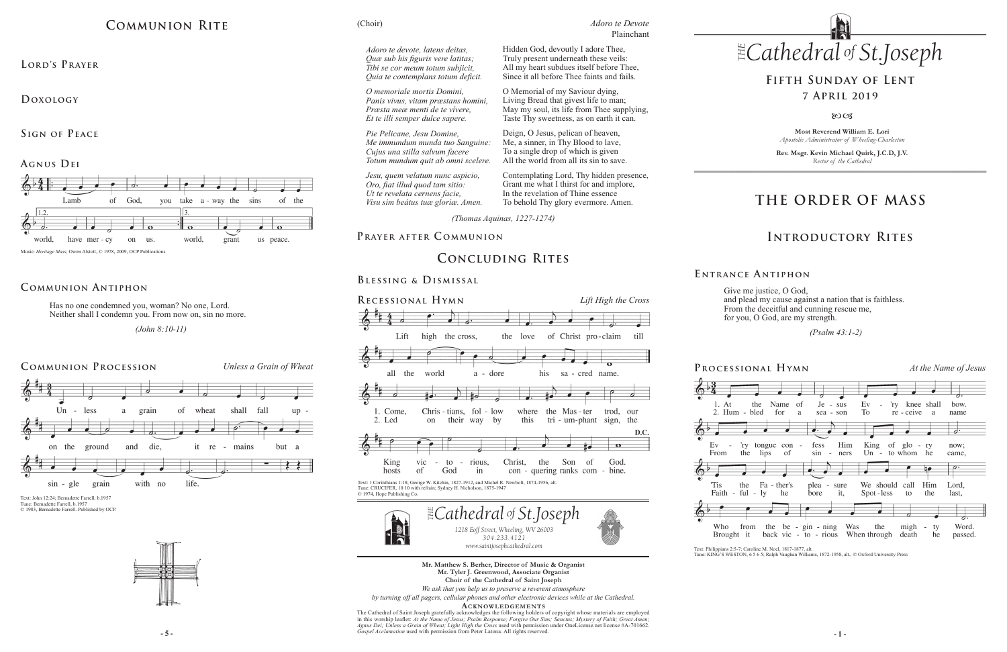**Most Reverend William E. Lori** *Apostolic Administrator of Wheeling-Charleston*

**Rev. Msgr. Kevin Michael Quirk, J.C.D, J.V.** *Rector of the Cathedral*



# **THE ORDER OF MASS**

## **Introductory Rites**

# **Fifth Sunday of Lent 7 April 2019**

#### $80C<sub>3</sub>$

Give me justice, O God, and plead my cause against a nation that is faithless. From the deceitful and cunning rescue me, for you, O God, are my strength.

 *(Psalm 43:1-2)* 

**E ntrance A ntiphon**

**- 5 - - 1 -** *Gospel Acclamation* used with permission from Peter Latona. All rights reserved. The Cathedral of Saint Joseph gratefully acknowledges the following holders of copyright whose materials are employed in this worship leaflet: *At the Name of Jesus; Psalm Response; Forgive Our Sins; Sanctus; Mystery of Faith; Great Amen; Agnus Dei; Unless a Grain of Wheat; Light High the Cross* used with permission under OneLicense.net license #A-701662.









**Mr. Matthew S. Berher, Director of Music & Organist Mr. Tyler J. Greenwood, Associate Organist Choir of the Cathedral of Saint Joseph**

*We ask that you help us to preserve a reverent atmosphere*

*by turning off all pagers, cellular phones and other electronic devices while at the Cathedral.*

**Acknowledgement s**

## **Communion Antiphon**

# **Communion Rite**

**Lord's Prayer**

**Doxology** 

**Sign of Peace** 

#### **Agnus Dei**



Music: *Heritage Mass*, Owen Alstott, © 1978, 2009, OCP Publication

Has no one condemned you, woman? No one, Lord. Neither shall I condemn you. From now on, sin no more.

 *(John 8:10-11)* 

# **Concluding Rites**

#### **Blessing & Dismissal**



Text: 1 Corinthians 1:18; George W. Kitchin, 1827-1912, and Michel R. Newbolt, 1874-1956, alt. Tune: CRUCIFER, 10 10 with refrain; Sydney H. Nicholson, 1875-1947 © 1974, Hope Publishing Co.



Text: John 12:24; Bernadette Farrell, b.1957 Tune: Bernadette Farrell, b.1957 © 1983, Bernadette Farrell. Published by OCP.



**Processional Hymn** *At the Name of Jesus*



*(Thomas Aquinas, 1227-1274)*

# PRAYER AFTER COMMUNION

Hidden God, devoutly I adore Thee, Truly present underneath these veils: All my heart subdues itself before Thee, Since it all before Thee faints and fails.

O Memorial of my Saviour dying, Living Bread that givest life to man; May my soul, its life from Thee supplying, Taste Thy sweetness, as on earth it can.

Deign, O Jesus, pelican of heaven, Me, a sinner, in Thy Blood to lave, To a single drop of which is given All the world from all its sin to save.

Contemplating Lord, Thy hidden presence, Grant me what I thirst for and implore, In the revelation of Thine essence To behold Thy glory evermore. Amen.

(Choir)

Text: Philippians 2:5-7; Caroline M. Noel, 1817-1877, alt.

Tune: KING'S WESTON, 6 5 6 5; Ralph Vaughan Williams, 1872-1958, alt., © Oxford University Press

*Adoro te devote, latens deitas, Quæ sub his figuris vere latitas; Tibi se cor meum totum subjicit, Quia te contemplans totum deficit.*

*O memoriale mortis Domini, Panis vivus, vitam præstans homini, Præsta meæ menti de te vívere, Et te illi semper dulce sapere.*

*Pie Pelicane, Jesu Domine, Me immundum munda tuo Sanguine: Cujus una stilla salvum facere Totum mundum quit ab omni scelere.*

*Jesu, quem velatum nunc aspicio, Oro, fiat illud quod tam sitio: Ut te revelata cernens facie, Visu sim beátus tuæ gloriæ. Amen.*